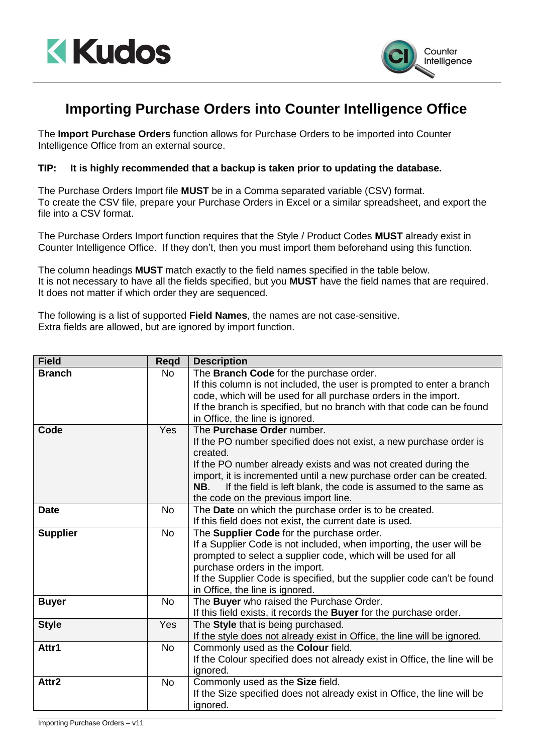



## **Importing Purchase Orders into Counter Intelligence Office**

The **Import Purchase Orders** function allows for Purchase Orders to be imported into Counter Intelligence Office from an external source.

## **TIP: It is highly recommended that a backup is taken prior to updating the database.**

The Purchase Orders Import file **MUST** be in a Comma separated variable (CSV) format. To create the CSV file, prepare your Purchase Orders in Excel or a similar spreadsheet, and export the file into a CSV format.

The Purchase Orders Import function requires that the Style / Product Codes **MUST** already exist in Counter Intelligence Office. If they don't, then you must import them beforehand using this function.

The column headings **MUST** match exactly to the field names specified in the table below. It is not necessary to have all the fields specified, but you **MUST** have the field names that are required. It does not matter if which order they are sequenced.

The following is a list of supported **Field Names**, the names are not case-sensitive. Extra fields are allowed, but are ignored by import function.

| <b>Field</b>    | <b>Regd</b> | <b>Description</b>                                                         |
|-----------------|-------------|----------------------------------------------------------------------------|
| <b>Branch</b>   | <b>No</b>   | The Branch Code for the purchase order.                                    |
|                 |             | If this column is not included, the user is prompted to enter a branch     |
|                 |             | code, which will be used for all purchase orders in the import.            |
|                 |             | If the branch is specified, but no branch with that code can be found      |
|                 |             | in Office, the line is ignored.                                            |
| Code            | <b>Yes</b>  | The Purchase Order number.                                                 |
|                 |             | If the PO number specified does not exist, a new purchase order is         |
|                 |             | created.                                                                   |
|                 |             | If the PO number already exists and was not created during the             |
|                 |             | import, it is incremented until a new purchase order can be created.       |
|                 |             | If the field is left blank, the code is assumed to the same as<br>NB.      |
|                 |             | the code on the previous import line.                                      |
| <b>Date</b>     | <b>No</b>   | The Date on which the purchase order is to be created.                     |
|                 |             | If this field does not exist, the current date is used.                    |
| <b>Supplier</b> | <b>No</b>   | The Supplier Code for the purchase order.                                  |
|                 |             | If a Supplier Code is not included, when importing, the user will be       |
|                 |             | prompted to select a supplier code, which will be used for all             |
|                 |             | purchase orders in the import.                                             |
|                 |             | If the Supplier Code is specified, but the supplier code can't be found    |
|                 |             | in Office, the line is ignored.                                            |
| <b>Buyer</b>    | <b>No</b>   | The Buyer who raised the Purchase Order.                                   |
|                 |             | If this field exists, it records the Buyer for the purchase order.         |
| <b>Style</b>    | Yes         | The Style that is being purchased.                                         |
|                 |             | If the style does not already exist in Office, the line will be ignored.   |
| Attr1           | <b>No</b>   | Commonly used as the Colour field.                                         |
|                 |             | If the Colour specified does not already exist in Office, the line will be |
|                 |             | ignored.                                                                   |
| Attr2           | <b>No</b>   | Commonly used as the Size field.                                           |
|                 |             | If the Size specified does not already exist in Office, the line will be   |
|                 |             | ignored.                                                                   |